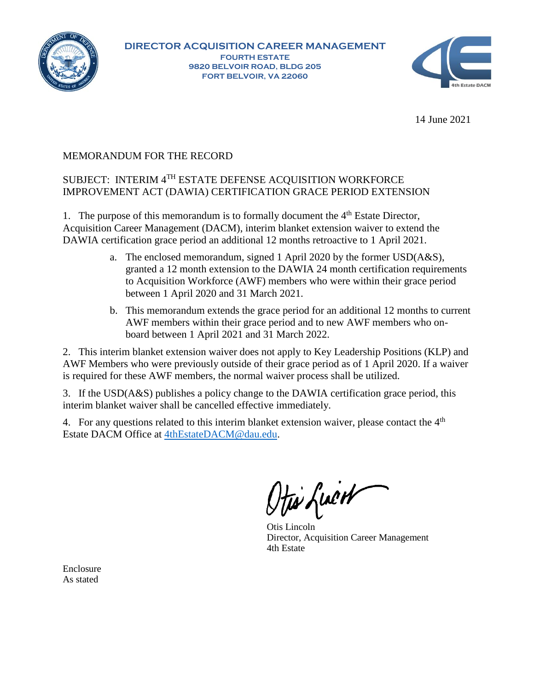



14 June 2021

## MEMORANDUM FOR THE RECORD

## SUBJECT: INTERIM 4TH ESTATE DEFENSE ACQUISITION WORKFORCE IMPROVEMENT ACT (DAWIA) CERTIFICATION GRACE PERIOD EXTENSION

1. The purpose of this memorandum is to formally document the  $4<sup>th</sup>$  Estate Director, Acquisition Career Management (DACM), interim blanket extension waiver to extend the DAWIA certification grace period an additional 12 months retroactive to 1 April 2021.

- a. The enclosed memorandum, signed 1 April 2020 by the former USD(A&S), granted a 12 month extension to the DAWIA 24 month certification requirements to Acquisition Workforce (AWF) members who were within their grace period between 1 April 2020 and 31 March 2021.
- b. This memorandum extends the grace period for an additional 12 months to current AWF members within their grace period and to new AWF members who onboard between 1 April 2021 and 31 March 2022.

2. This interim blanket extension waiver does not apply to Key Leadership Positions (KLP) and AWF Members who were previously outside of their grace period as of 1 April 2020. If a waiver is required for these AWF members, the normal waiver process shall be utilized.

3. If the USD(A&S) publishes a policy change to the DAWIA certification grace period, this interim blanket waiver shall be cancelled effective immediately.

4. For any questions related to this interim blanket extension waiver, please contact the  $4<sup>th</sup>$ Estate DACM Office at [4thEstateDACM@dau.edu.](mailto:4thEstateDACM@dau.edu)

Otis Lincoln Director, Acquisition Career Management 4th Estate

Enclosure As stated